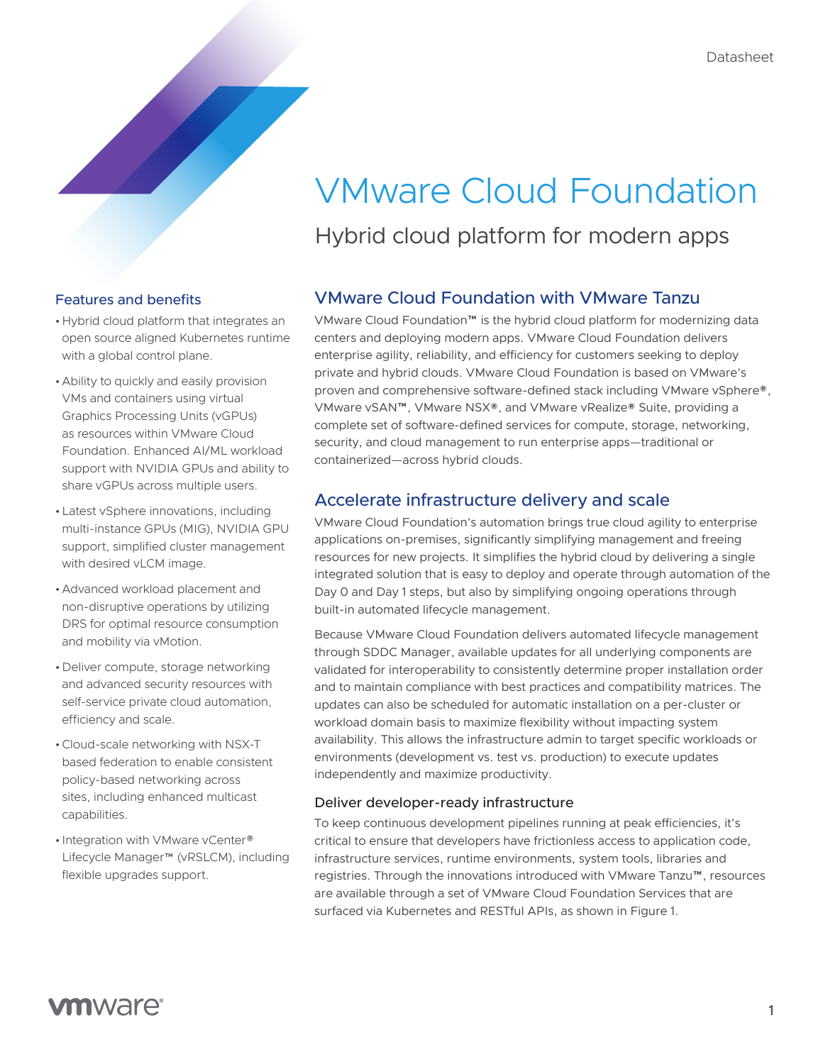# VMware Cloud Foundation

Hybrid cloud platform for modern apps

# Features and benefits

- •Hybrid cloud platform that integrates an open source aligned Kubernetes runtime with a global control plane.
- •Ability to quickly and easily provision VMs and containers using virtual Graphics Processing Units (vGPUs) as resources within VMware Cloud Foundation. Enhanced AI/ML workload support with NVIDIA GPUs and ability to share vGPUs across multiple users.
- •Latest vSphere innovations, including multi-instance GPUs (MIG), NVIDIA GPU support, simplified cluster management with desired vLCM image.
- •Advanced workload placement and non-disruptive operations by utilizing DRS for optimal resource consumption and mobility via vMotion.
- •Deliver compute, storage networking and advanced security resources with self-service private cloud automation, efficiency and scale.
- •Cloud-scale networking with NSX-T based federation to enable consistent policy-based networking across sites, including enhanced multicast capabilities.
- Integration with VMware vCenter® Lifecycle Manager™ (vRSLCM), including flexible upgrades support.

# VMware Cloud Foundation with VMware Tanzu

VMware Cloud Foundation™ is the hybrid cloud platform for modernizing data centers and deploying modern apps. VMware Cloud Foundation delivers enterprise agility, reliability, and efficiency for customers seeking to deploy private and hybrid clouds. VMware Cloud Foundation is based on VMware's proven and comprehensive software-defined stack including VMware vSphere®, VMware vSAN™, VMware NSX®, and VMware vRealize® Suite, providing a complete set of software-defined services for compute, storage, networking, security, and cloud management to run enterprise apps—traditional or containerized—across hybrid clouds.

# Accelerate infrastructure delivery and scale

VMware Cloud Foundation's automation brings true cloud agility to enterprise applications on-premises, significantly simplifying management and freeing resources for new projects. It simplifies the hybrid cloud by delivering a single integrated solution that is easy to deploy and operate through automation of the Day 0 and Day 1 steps, but also by simplifying ongoing operations through built-in automated lifecycle management.

Because VMware Cloud Foundation delivers automated lifecycle management through SDDC Manager, available updates for all underlying components are validated for interoperability to consistently determine proper installation order and to maintain compliance with best practices and compatibility matrices. The updates can also be scheduled for automatic installation on a per-cluster or workload domain basis to maximize flexibility without impacting system availability. This allows the infrastructure admin to target specific workloads or environments (development vs. test vs. production) to execute updates independently and maximize productivity.

#### Deliver developer-ready infrastructure

To keep continuous development pipelines running at peak efficiencies, it's critical to ensure that developers have frictionless access to application code, infrastructure services, runtime environments, system tools, libraries and registries. Through the innovations introduced with VMware Tanzu™, resources are available through a set of VMware Cloud Foundation Services that are surfaced via Kubernetes and RESTful APIs, as shown in Figure 1.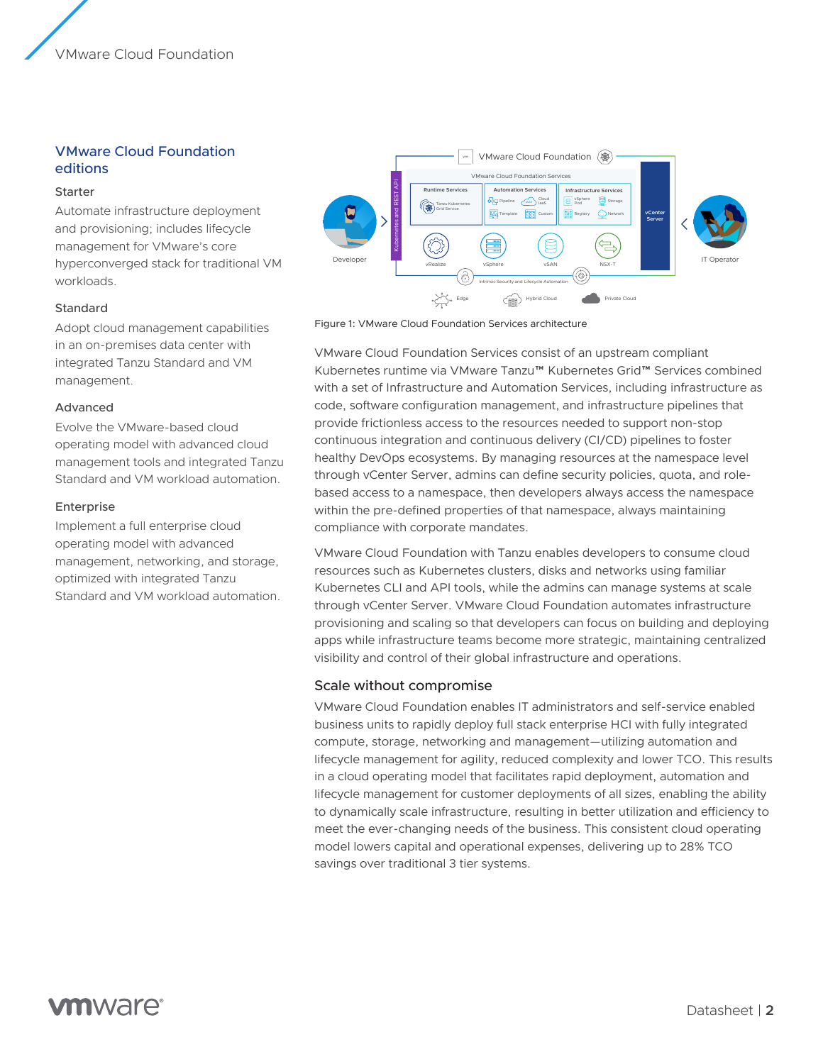### VMware Cloud Foundation editions

#### Starter

Automate infrastructure deployment and provisioning; includes lifecycle management for VMware's core hyperconverged stack for traditional VM workloads.

#### Standard

Adopt cloud management capabilities in an on-premises data center with integrated Tanzu Standard and VM management.

#### Advanced

Evolve the VMware-based cloud operating model with advanced cloud management tools and integrated Tanzu Standard and VM workload automation.

#### **Enterprise**

Implement a full enterprise cloud operating model with advanced management, networking, and storage, optimized with integrated Tanzu Standard and VM workload automation.



Figure 1: VMware Cloud Foundation Services architecture

VMware Cloud Foundation Services consist of an upstream compliant Kubernetes runtime via VMware Tanzu™ Kubernetes Grid™ Services combined with a set of Infrastructure and Automation Services, including infrastructure as code, software configuration management, and infrastructure pipelines that provide frictionless access to the resources needed to support non-stop continuous integration and continuous delivery (CI/CD) pipelines to foster healthy DevOps ecosystems. By managing resources at the namespace level through vCenter Server, admins can define security policies, quota, and rolebased access to a namespace, then developers always access the namespace within the pre-defined properties of that namespace, always maintaining compliance with corporate mandates.

VMware Cloud Foundation with Tanzu enables developers to consume cloud resources such as Kubernetes clusters, disks and networks using familiar Kubernetes CLI and API tools, while the admins can manage systems at scale through vCenter Server. VMware Cloud Foundation automates infrastructure provisioning and scaling so that developers can focus on building and deploying apps while infrastructure teams become more strategic, maintaining centralized visibility and control of their global infrastructure and operations.

#### Scale without compromise

VMware Cloud Foundation enables IT administrators and self-service enabled business units to rapidly deploy full stack enterprise HCI with fully integrated compute, storage, networking and management—utilizing automation and lifecycle management for agility, reduced complexity and lower TCO. This results in a cloud operating model that facilitates rapid deployment, automation and lifecycle management for customer deployments of all sizes, enabling the ability to dynamically scale infrastructure, resulting in better utilization and efficiency to meet the ever-changing needs of the business. This consistent cloud operating model lowers capital and operational expenses, delivering up to 28% TCO savings over traditional 3 tier systems.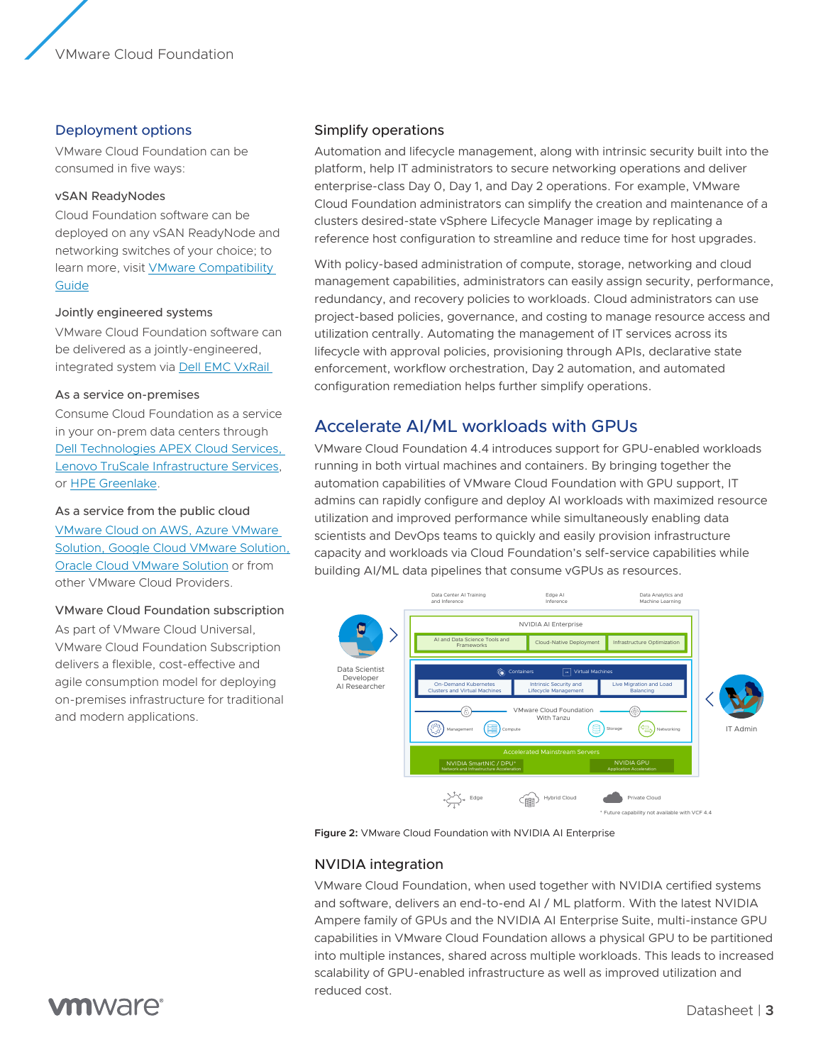#### Deployment options

VMware Cloud Foundation can be consumed in five ways:

#### vSAN ReadyNodes

Cloud Foundation software can be deployed on any vSAN ReadyNode and networking switches of your choice; to learn more, visit [VMware Compatibility](https://www.vmware.com/resources/compatibility/search.php?deviceCategory=vsan)  [Guide](https://www.vmware.com/resources/compatibility/search.php?deviceCategory=vsan)

#### Jointly engineered systems

VMware Cloud Foundation software can be delivered as a jointly-engineered, integrated system via [Dell EMC VxRail](https://www.delltechnologies.com/en-us/converged-infrastructure/vxrail/index.htm?gacd=9650523-1033-5761040-0-0&dgc=st&&gclid=Cj0KCQiA4sjyBRC5ARIsAEHsELHvGrDNVWikN6IM6OGd-xsRF2U-w1MTNSq1S2iz9dvRPOchG5kEunEaAq01EALw_wcB&gclsrc=aw.ds) 

#### As a service on-premises

Consume Cloud Foundation as a service in your on-prem data centers through [Dell Technologies APEX Cloud Services,](https://www.lenovo.com/us/en/data-center/services/truscale-infrastructure-services/)  [Lenovo TruScale Infrastructure Services](https://www.lenovo.com/us/en/data-center/services/truscale-infrastructure-services/), or [HPE Greenlake.](https://www.hpe.com/us/en/collaterals/collateral.a50000146enw.HPE-GreenLake-delivers-VMware-cloud-foundation-and-HPE-Synergy-service-brief.html)

#### As a service from the public cloud

[VMware Cloud on AWS, Azure VMware](https://www.vmware.com/products/vmc-on-aws.html)  [Solution, Google Cloud VMware Solution,](https://www.vmware.com/products/vmc-on-aws.html)  [Oracle Cloud VMware Solution](https://www.vmware.com/products/vmc-on-aws.html) or from other VMware Cloud Providers.

#### VMware Cloud Foundation subscription

As part of VMware Cloud Universal, VMware Cloud Foundation Subscription delivers a flexible, cost-effective and agile consumption model for deploying on-premises infrastructure for traditional and modern applications.

# Simplify operations

Automation and lifecycle management, along with intrinsic security built into the platform, help IT administrators to secure networking operations and deliver enterprise-class Day 0, Day 1, and Day 2 operations. For example, VMware Cloud Foundation administrators can simplify the creation and maintenance of a clusters desired-state vSphere Lifecycle Manager image by replicating a reference host configuration to streamline and reduce time for host upgrades.

With policy-based administration of compute, storage, networking and cloud management capabilities, administrators can easily assign security, performance, redundancy, and recovery policies to workloads. Cloud administrators can use project-based policies, governance, and costing to manage resource access and utilization centrally. Automating the management of IT services across its lifecycle with approval policies, provisioning through APIs, declarative state enforcement, workflow orchestration, Day 2 automation, and automated configuration remediation helps further simplify operations.

# Accelerate AI/ML workloads with GPUs

VMware Cloud Foundation 4.4 introduces support for GPU-enabled workloads running in both virtual machines and containers. By bringing together the automation capabilities of VMware Cloud Foundation with GPU support, IT admins can rapidly configure and deploy AI workloads with maximized resource utilization and improved performance while simultaneously enabling data scientists and DevOps teams to quickly and easily provision infrastructure capacity and workloads via Cloud Foundation's self-service capabilities while building AI/ML data pipelines that consume vGPUs as resources.



**Figure 2:** VMware Cloud Foundation with NVIDIA AI Enterprise

#### NVIDIA integration

VMware Cloud Foundation, when used together with NVIDIA certified systems and software, delivers an end-to-end AI / ML platform. With the latest NVIDIA Ampere family of GPUs and the NVIDIA AI Enterprise Suite, multi-instance GPU capabilities in VMware Cloud Foundation allows a physical GPU to be partitioned into multiple instances, shared across multiple workloads. This leads to increased scalability of GPU-enabled infrastructure as well as improved utilization and reduced cost.

# **vm**ware<sup>®</sup>